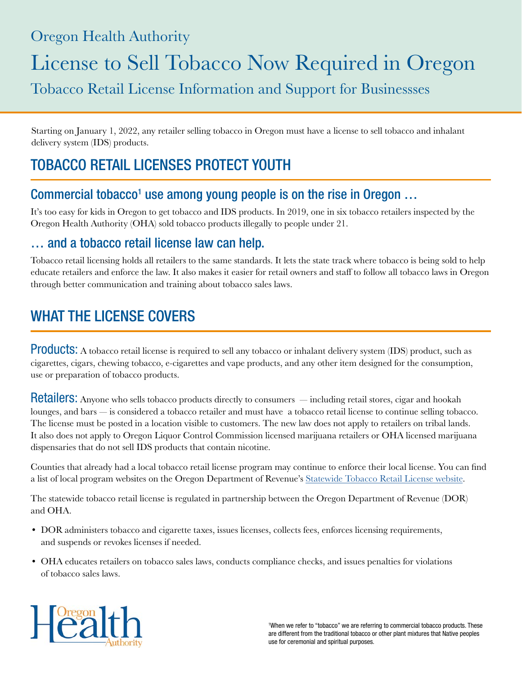### Oregon Health Authority

# License to Sell Tobacco Now Required in Oregon

Tobacco Retail License Information and Support for Businessses

Starting on January 1, 2022, any retailer selling tobacco in Oregon must have a license to sell tobacco and inhalant delivery system (IDS) products.

# TOBACCO RETAIL LICENSES PROTECT YOUTH

#### Commercial tobacco<sup>1</sup> use among young people is on the rise in Oregon ...

It's too easy for kids in Oregon to get tobacco and IDS products. In 2019, one in six tobacco retailers inspected by the Oregon Health Authority (OHA) sold tobacco products illegally to people under 21.

#### … and a tobacco retail license law can help.

Tobacco retail licensing holds all retailers to the same standards. It lets the state track where tobacco is being sold to help educate retailers and enforce the law. It also makes it easier for retail owners and staff to follow all tobacco laws in Oregon through better communication and training about tobacco sales laws.

# WHAT THE LICENSE COVERS

Products: A tobacco retail license is required to sell any tobacco or inhalant delivery system (IDS) product, such as cigarettes, cigars, chewing tobacco, e-cigarettes and vape products, and any other item designed for the consumption, use or preparation of tobacco products.

Retailers: Anyone who sells tobacco products directly to consumers — including retail stores, cigar and hookah lounges, and bars — is considered a tobacco retailer and must have a tobacco retail license to continue selling tobacco. The license must be posted in a location visible to customers. The new law does not apply to retailers on tribal lands. It also does not apply to Oregon Liquor Control Commission licensed marijuana retailers or OHA licensed marijuana dispensaries that do not sell IDS products that contain nicotine.

Counties that already had a local tobacco retail license program may continue to enforce their local license. You can find a list of local program websites on the Oregon Department of Revenue's [Statewide Tobacco Retail License website](https://www.oregon.gov/dor/programs/businesses/Pages/Statewide-Tobacco-Retail-License.aspx).

The statewide tobacco retail license is regulated in partnership between the Oregon Department of Revenue (DOR) and OHA.

- DOR administers tobacco and cigarette taxes, issues licenses, collects fees, enforces licensing requirements, and suspends or revokes licenses if needed.
- OHA educates retailers on tobacco sales laws, conducts compliance checks, and issues penalties for violations of tobacco sales laws.